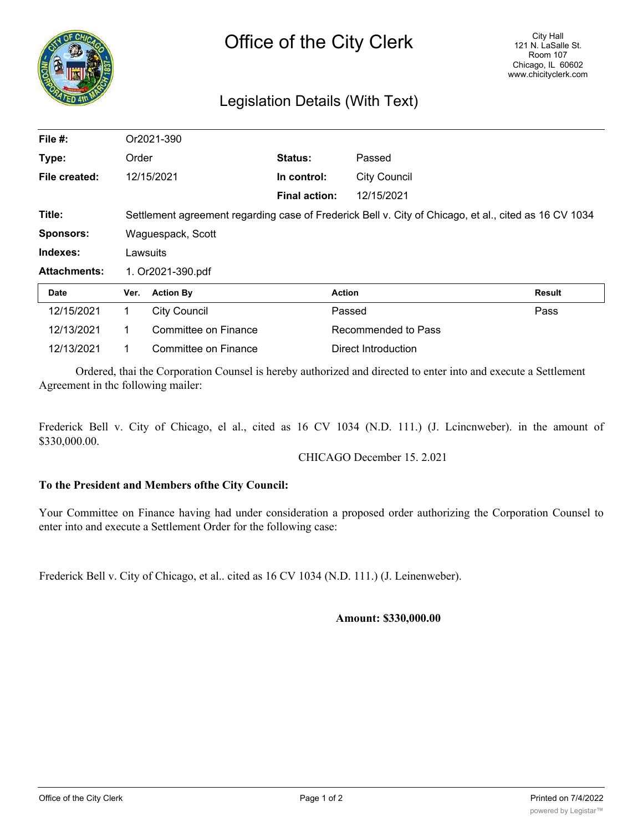

## Legislation Details (With Text)

| File $#$ :          | Or2021-390                                                                                            |                      |                      |                     |               |
|---------------------|-------------------------------------------------------------------------------------------------------|----------------------|----------------------|---------------------|---------------|
| Type:               | Order                                                                                                 |                      | <b>Status:</b>       | Passed              |               |
| File created:       |                                                                                                       | 12/15/2021           | In control:          | <b>City Council</b> |               |
|                     |                                                                                                       |                      | <b>Final action:</b> | 12/15/2021          |               |
| Title:              | Settlement agreement regarding case of Frederick Bell v. City of Chicago, et al., cited as 16 CV 1034 |                      |                      |                     |               |
| <b>Sponsors:</b>    | Waguespack, Scott                                                                                     |                      |                      |                     |               |
| Indexes:            | Lawsuits                                                                                              |                      |                      |                     |               |
| <b>Attachments:</b> | 1. Or2021-390.pdf                                                                                     |                      |                      |                     |               |
| <b>Date</b>         | Ver.                                                                                                  | <b>Action By</b>     | <b>Action</b>        |                     | <b>Result</b> |
| 12/15/2021          | 1.                                                                                                    | <b>City Council</b>  |                      | Passed              | Pass          |
| 12/13/2021          | 1.                                                                                                    | Committee on Finance |                      | Recommended to Pass |               |
| 12/13/2021          |                                                                                                       | Committee on Finance |                      | Direct Introduction |               |

Ordered, thai the Corporation Counsel is hereby authorized and directed to enter into and execute a Settlement Agreement in thc following mailer:

Frederick Bell v. City of Chicago, el al., cited as 16 CV 1034 (N.D. 111.) (J. Lcincnweber). in the amount of \$330,000.00.

CHICAGO December 15. 2.021

## **To the President and Members ofthe City Council:**

Your Committee on Finance having had under consideration a proposed order authorizing the Corporation Counsel to enter into and execute a Settlement Order for the following case:

Frederick Bell v. City of Chicago, et al.. cited as 16 CV 1034 (N.D. 111.) (J. Leinenweber).

**Amount: \$330,000.00**